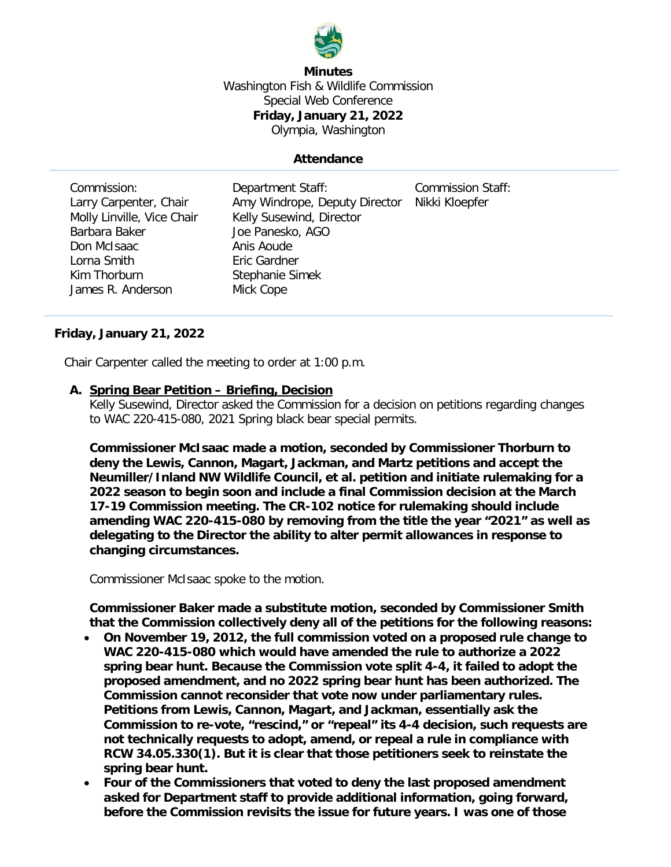

**Minutes** Washington Fish & Wildlife Commission Special Web Conference **Friday, January 21, 2022** Olympia, Washington

## **Attendance**

| Department Staff:<br>Amy Windrope, Deputy Director<br>Kelly Susewind, Director<br>Joe Panesko, AGO<br>Anis Aoude<br>Eric Gardner | <b>Commission Staff:</b><br>Nikki Kloepfer |
|----------------------------------------------------------------------------------------------------------------------------------|--------------------------------------------|
|                                                                                                                                  |                                            |
|                                                                                                                                  |                                            |
| Mick Cope                                                                                                                        |                                            |
|                                                                                                                                  | Stephanie Simek                            |

## **Friday, January 21, 2022**

Chair Carpenter called the meeting to order at 1:00 p.m.

## **A. Spring Bear Petition – Briefing, Decision**

Kelly Susewind, Director asked the Commission for a decision on petitions regarding changes to WAC 220-415-080, 2021 Spring black bear special permits.

**Commissioner McIsaac made a motion, seconded by Commissioner Thorburn to deny the Lewis, Cannon, Magart, Jackman, and Martz petitions and accept the Neumiller/Inland NW Wildlife Council, et al. petition and initiate rulemaking for a 2022 season to begin soon and include a final Commission decision at the March 17-19 Commission meeting. The CR-102 notice for rulemaking should include amending WAC 220-415-080 by removing from the title the year "2021" as well as delegating to the Director the ability to alter permit allowances in response to changing circumstances.**

Commissioner McIsaac spoke to the motion.

**Commissioner Baker made a substitute motion, seconded by Commissioner Smith that the Commission collectively deny all of the petitions for the following reasons:** 

- **On November 19, 2012, the full commission voted on a proposed rule change to WAC 220-415-080 which would have amended the rule to authorize a 2022 spring bear hunt. Because the Commission vote split 4-4, it failed to adopt the proposed amendment, and no 2022 spring bear hunt has been authorized. The Commission cannot reconsider that vote now under parliamentary rules. Petitions from Lewis, Cannon, Magart, and Jackman, essentially ask the Commission to re-vote, "rescind," or "repeal" its 4-4 decision, such requests are not technically requests to adopt, amend, or repeal a rule in compliance with RCW 34.05.330(1). But it is clear that those petitioners seek to reinstate the spring bear hunt.**
- **Four of the Commissioners that voted to deny the last proposed amendment asked for Department staff to provide additional information, going forward, before the Commission revisits the issue for future years. I was one of those**